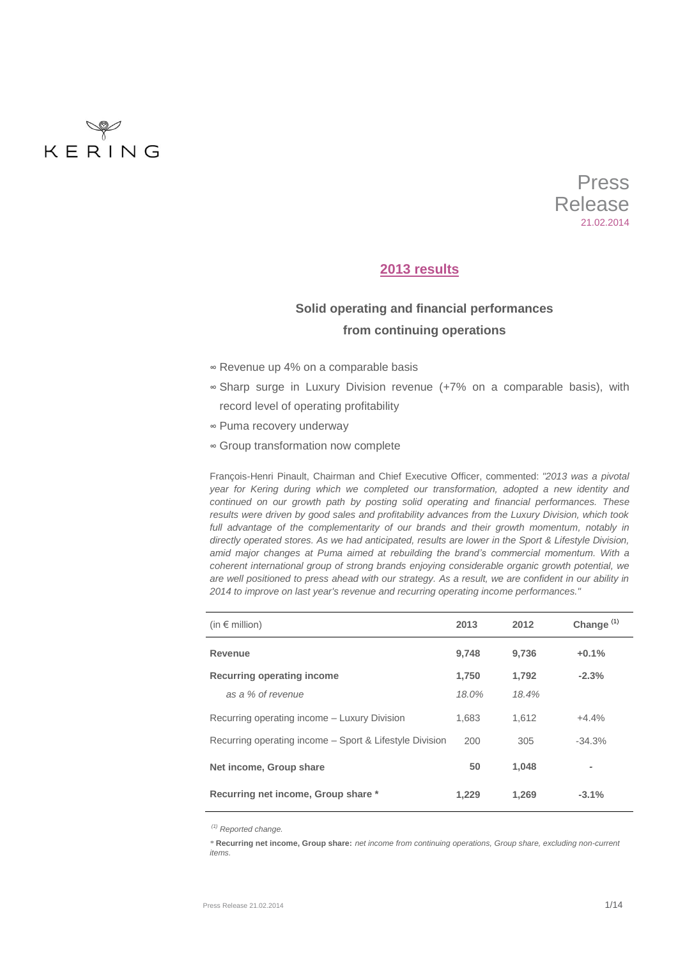

# **2013 results**

# **Solid operating and financial performances from continuing operations**

- **∞** Revenue up 4% on a comparable basis
- **∞** Sharp surge in Luxury Division revenue (+7% on a comparable basis), with record level of operating profitability
- **∞** Puma recovery underway
- **∞** Group transformation now complete

François-Henri Pinault, Chairman and Chief Executive Officer, commented: *"2013 was a pivotal year for Kering during which we completed our transformation, adopted a new identity and continued on our growth path by posting solid operating and financial performances. These results were driven by good sales and profitability advances from the Luxury Division, which took full advantage of the complementarity of our brands and their growth momentum, notably in directly operated stores. As we had anticipated, results are lower in the Sport & Lifestyle Division, amid major changes at Puma aimed at rebuilding the brand's commercial momentum. With a coherent international group of strong brands enjoying considerable organic growth potential, we are well positioned to press ahead with our strategy. As a result, we are confident in our ability in 2014 to improve on last year's revenue and recurring operating income performances."*

| (in $\epsilon$ million)                                 | 2013  | 2012  | Change <sup>(1)</sup> |
|---------------------------------------------------------|-------|-------|-----------------------|
| <b>Revenue</b>                                          | 9,748 | 9,736 | $+0.1%$               |
| Recurring operating income                              | 1.750 | 1.792 | $-2.3%$               |
| as a % of revenue                                       | 18.0% | 18.4% |                       |
| Recurring operating income - Luxury Division            | 1.683 | 1.612 | $+4.4%$               |
| Recurring operating income – Sport & Lifestyle Division |       | 305   | $-34.3%$              |
| Net income, Group share                                 | 50    | 1.048 |                       |
| Recurring net income, Group share *                     | 1.229 | 1,269 | $-3.1%$               |

*(1) Reported change.*

*\** **Recurring net income, Group share:** *net income from continuing operations, Group share, excluding non-current items.*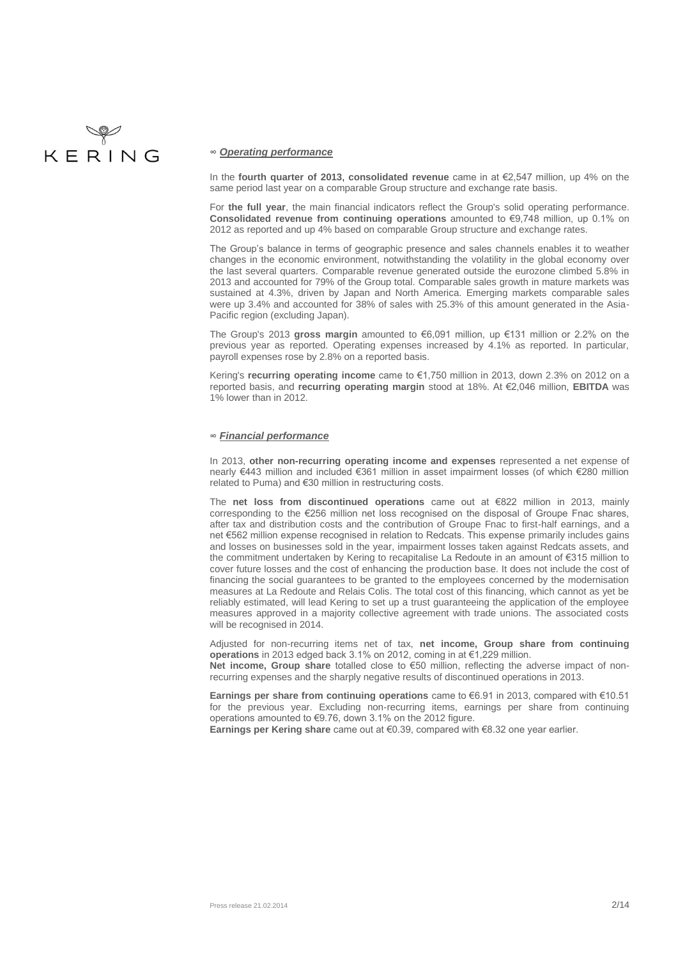

# **∞** *Operating performance*

In the **fourth quarter of 2013**, **consolidated revenue** came in at €2,547 million, up 4% on the same period last year on a comparable Group structure and exchange rate basis.

For **the full year**, the main financial indicators reflect the Group's solid operating performance. **Consolidated revenue from continuing operations** amounted to €9,748 million, up 0.1% on 2012 as reported and up 4% based on comparable Group structure and exchange rates.

The Group's balance in terms of geographic presence and sales channels enables it to weather changes in the economic environment, notwithstanding the volatility in the global economy over the last several quarters. Comparable revenue generated outside the eurozone climbed 5.8% in 2013 and accounted for 79% of the Group total. Comparable sales growth in mature markets was sustained at 4.3%, driven by Japan and North America. Emerging markets comparable sales were up 3.4% and accounted for 38% of sales with 25.3% of this amount generated in the Asia-Pacific region (excluding Japan).

The Group's 2013 **gross margin** amounted to €6,091 million, up €131 million or 2.2% on the previous year as reported. Operating expenses increased by 4.1% as reported. In particular, payroll expenses rose by 2.8% on a reported basis.

Kering's **recurring operating income** came to €1,750 million in 2013, down 2.3% on 2012 on a reported basis, and **recurring operating margin** stood at 18%. At €2,046 million, **EBITDA** was 1% lower than in 2012.

## **∞** *Financial performance*

In 2013, **other non-recurring operating income and expenses** represented a net expense of nearly €443 million and included €361 million in asset impairment losses (of which €280 million related to Puma) and €30 million in restructuring costs.

The **net loss from discontinued operations** came out at €822 million in 2013, mainly corresponding to the €256 million net loss recognised on the disposal of Groupe Fnac shares, after tax and distribution costs and the contribution of Groupe Fnac to first-half earnings, and a net €562 million expense recognised in relation to Redcats. This expense primarily includes gains and losses on businesses sold in the year, impairment losses taken against Redcats assets, and the commitment undertaken by Kering to recapitalise La Redoute in an amount of €315 million to cover future losses and the cost of enhancing the production base. It does not include the cost of financing the social guarantees to be granted to the employees concerned by the modernisation measures at La Redoute and Relais Colis. The total cost of this financing, which cannot as yet be reliably estimated, will lead Kering to set up a trust guaranteeing the application of the employee measures approved in a majority collective agreement with trade unions. The associated costs will be recognised in 2014.

Adjusted for non-recurring items net of tax, **net income, Group share from continuing operations** in 2013 edged back 3.1% on 2012, coming in at €1,229 million.

Net income. Group share totalled close to €50 million, reflecting the adverse impact of nonrecurring expenses and the sharply negative results of discontinued operations in 2013.

**Earnings per share from continuing operations** came to €6.91 in 2013, compared with €10.51 for the previous year. Excluding non-recurring items, earnings per share from continuing operations amounted to €9.76, down 3.1% on the 2012 figure.

**Earnings per Kering share** came out at €0.39, compared with €8.32 one year earlier.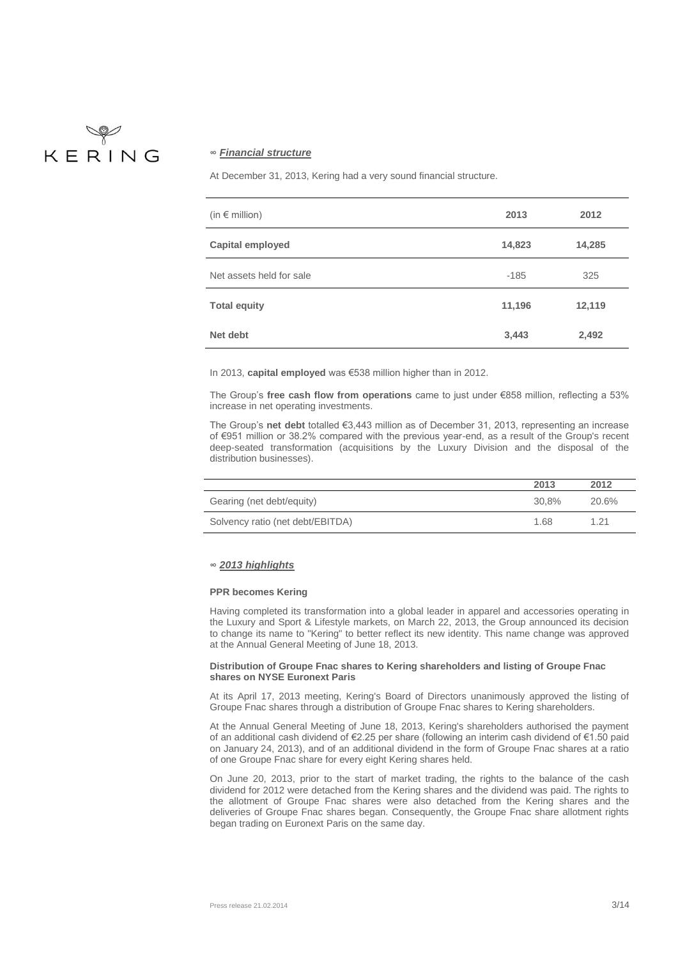

# **∞** *Financial structure*

At December 31, 2013, Kering had a very sound financial structure.

| (in $\epsilon$ million)  | 2013   | 2012   |
|--------------------------|--------|--------|
| <b>Capital employed</b>  | 14,823 | 14,285 |
| Net assets held for sale | $-185$ | 325    |
| <b>Total equity</b>      | 11,196 | 12,119 |
| Net debt                 | 3,443  | 2,492  |

In 2013, **capital employed** was €538 million higher than in 2012.

The Group's **free cash flow from operations** came to just under €858 million, reflecting a 53% increase in net operating investments.

The Group's **net debt** totalled €3,443 million as of December 31, 2013, representing an increase of €951 million or 38.2% compared with the previous year-end, as a result of the Group's recent deep-seated transformation (acquisitions by the Luxury Division and the disposal of the distribution businesses).

|                                  | 2013  | 2012  |
|----------------------------------|-------|-------|
| Gearing (net debt/equity)        | 30.8% | 20.6% |
| Solvency ratio (net debt/EBITDA) | 1.68  | 1 21  |

# **∞** *2013 highlights*

## **PPR becomes Kering**

Having completed its transformation into a global leader in apparel and accessories operating in the Luxury and Sport & Lifestyle markets, on March 22, 2013, the Group announced its decision to change its name to "Kering" to better reflect its new identity. This name change was approved at the Annual General Meeting of June 18, 2013.

# **Distribution of Groupe Fnac shares to Kering shareholders and listing of Groupe Fnac shares on NYSE Euronext Paris**

At its April 17, 2013 meeting, Kering's Board of Directors unanimously approved the listing of Groupe Fnac shares through a distribution of Groupe Fnac shares to Kering shareholders.

At the Annual General Meeting of June 18, 2013, Kering's shareholders authorised the payment of an additional cash dividend of €2.25 per share (following an interim cash dividend of €1.50 paid on January 24, 2013), and of an additional dividend in the form of Groupe Fnac shares at a ratio of one Groupe Fnac share for every eight Kering shares held.

On June 20, 2013, prior to the start of market trading, the rights to the balance of the cash dividend for 2012 were detached from the Kering shares and the dividend was paid. The rights to the allotment of Groupe Fnac shares were also detached from the Kering shares and the deliveries of Groupe Fnac shares began. Consequently, the Groupe Fnac share allotment rights began trading on Euronext Paris on the same day.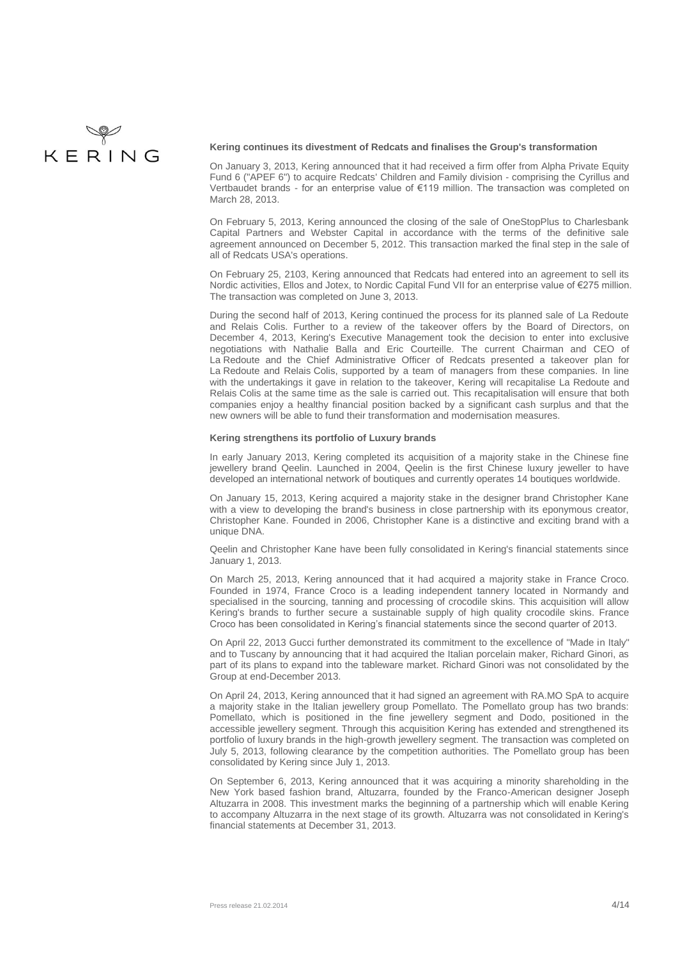

## **Kering continues its divestment of Redcats and finalises the Group's transformation**

On January 3, 2013, Kering announced that it had received a firm offer from Alpha Private Equity Fund 6 ("APEF 6") to acquire Redcats' Children and Family division - comprising the Cyrillus and Vertbaudet brands - for an enterprise value of €119 million. The transaction was completed on March 28, 2013.

On February 5, 2013, Kering announced the closing of the sale of OneStopPlus to Charlesbank Capital Partners and Webster Capital in accordance with the terms of the definitive sale agreement announced on December 5, 2012. This transaction marked the final step in the sale of all of Redcats USA's operations.

On February 25, 2103, Kering announced that Redcats had entered into an agreement to sell its Nordic activities, Ellos and Jotex, to Nordic Capital Fund VII for an enterprise value of €275 million. The transaction was completed on June 3, 2013.

During the second half of 2013, Kering continued the process for its planned sale of La Redoute and Relais Colis. Further to a review of the takeover offers by the Board of Directors, on December 4, 2013, Kering's Executive Management took the decision to enter into exclusive negotiations with Nathalie Balla and Eric Courteille. The current Chairman and CEO of La Redoute and the Chief Administrative Officer of Redcats presented a takeover plan for La Redoute and Relais Colis, supported by a team of managers from these companies. In line with the undertakings it gave in relation to the takeover, Kering will recapitalise La Redoute and Relais Colis at the same time as the sale is carried out. This recapitalisation will ensure that both companies enjoy a healthy financial position backed by a significant cash surplus and that the new owners will be able to fund their transformation and modernisation measures.

# **Kering strengthens its portfolio of Luxury brands**

In early January 2013, Kering completed its acquisition of a majority stake in the Chinese fine jewellery brand Qeelin. Launched in 2004, Qeelin is the first Chinese luxury jeweller to have developed an international network of boutiques and currently operates 14 boutiques worldwide.

On January 15, 2013, Kering acquired a majority stake in the designer brand Christopher Kane with a view to developing the brand's business in close partnership with its eponymous creator, Christopher Kane. Founded in 2006, Christopher Kane is a distinctive and exciting brand with a unique DNA.

Qeelin and Christopher Kane have been fully consolidated in Kering's financial statements since January 1, 2013.

On March 25, 2013, Kering announced that it had acquired a majority stake in France Croco. Founded in 1974, France Croco is a leading independent tannery located in Normandy and specialised in the sourcing, tanning and processing of crocodile skins. This acquisition will allow Kering's brands to further secure a sustainable supply of high quality crocodile skins. France Croco has been consolidated in Kering's financial statements since the second quarter of 2013.

On April 22, 2013 Gucci further demonstrated its commitment to the excellence of "Made in Italy" and to Tuscany by announcing that it had acquired the Italian porcelain maker, Richard Ginori, as part of its plans to expand into the tableware market. Richard Ginori was not consolidated by the Group at end-December 2013.

On April 24, 2013, Kering announced that it had signed an agreement with RA.MO SpA to acquire a majority stake in the Italian jewellery group Pomellato. The Pomellato group has two brands: Pomellato, which is positioned in the fine jewellery segment and Dodo, positioned in the accessible jewellery segment. Through this acquisition Kering has extended and strengthened its portfolio of luxury brands in the high-growth jewellery segment. The transaction was completed on July 5, 2013, following clearance by the competition authorities. The Pomellato group has been consolidated by Kering since July 1, 2013.

On September 6, 2013, Kering announced that it was acquiring a minority shareholding in the New York based fashion brand, Altuzarra, founded by the Franco-American designer Joseph Altuzarra in 2008. This investment marks the beginning of a partnership which will enable Kering to accompany Altuzarra in the next stage of its growth. Altuzarra was not consolidated in Kering's financial statements at December 31, 2013.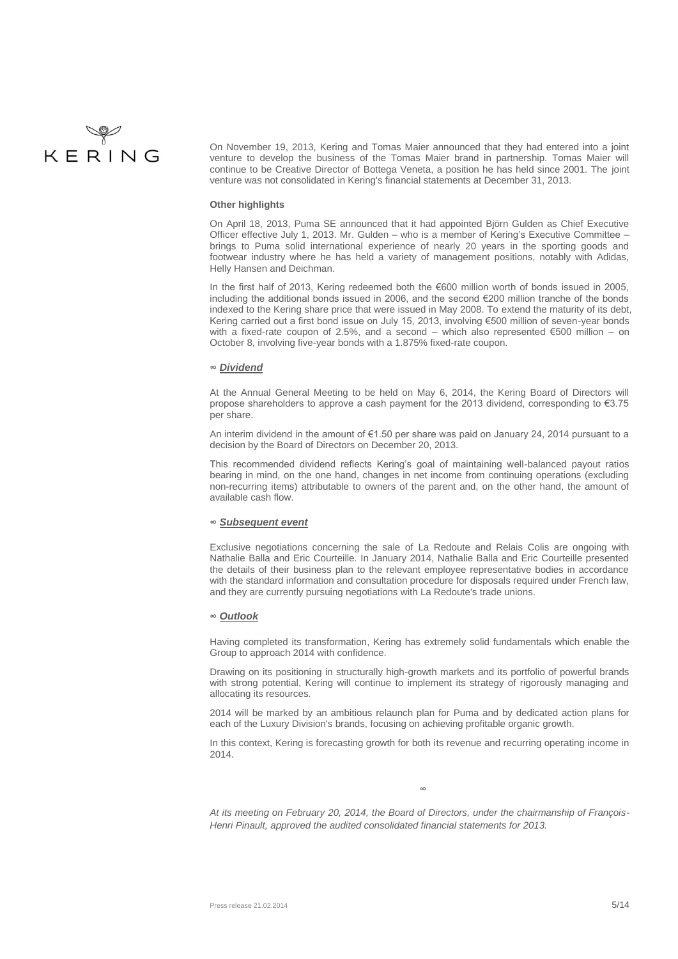

On November 19, 2013, Kering and Tomas Maier announced that they had entered into a joint venture to develop the business of the Tomas Maier brand in partnership. Tomas Maier will continue to be Creative Director of Bottega Veneta, a position he has held since 2001. The joint venture was not consolidated in Kering's financial statements at December 31, 2013.

## **Other highlights**

On April 18, 2013, Puma SE announced that it had appointed Björn Gulden as Chief Executive Officer effective July 1, 2013. Mr. Gulden – who is a member of Kering's Executive Committee – brings to Puma solid international experience of nearly 20 years in the sporting goods and footwear industry where he has held a variety of management positions, notably with Adidas, Helly Hansen and Deichman.

In the first half of 2013, Kering redeemed both the €600 million worth of bonds issued in 2005, including the additional bonds issued in 2006, and the second €200 million tranche of the bonds indexed to the Kering share price that were issued in May 2008. To extend the maturity of its debt, Kering carried out a first bond issue on July 15, 2013, involving €500 million of seven-year bonds with a fixed-rate coupon of 2.5%, and a second – which also represented  $\epsilon$ 500 million – on October 8, involving five-year bonds with a 1.875% fixed-rate coupon.

# **∞** *Dividend*

At the Annual General Meeting to be held on May 6, 2014, the Kering Board of Directors will propose shareholders to approve a cash payment for the 2013 dividend, corresponding to €3.75 per share.

An interim dividend in the amount of €1.50 per share was paid on January 24, 2014 pursuant to a decision by the Board of Directors on December 20, 2013.

This recommended dividend reflects Kering's goal of maintaining well-balanced payout ratios bearing in mind, on the one hand, changes in net income from continuing operations (excluding non-recurring items) attributable to owners of the parent and, on the other hand, the amount of available cash flow.

# **∞** *Subsequent event*

Exclusive negotiations concerning the sale of La Redoute and Relais Colis are ongoing with Nathalie Balla and Eric Courteille. In January 2014, Nathalie Balla and Eric Courteille presented the details of their business plan to the relevant employee representative bodies in accordance with the standard information and consultation procedure for disposals required under French law, and they are currently pursuing negotiations with La Redoute's trade unions.

# **∞** *Outlook*

Having completed its transformation, Kering has extremely solid fundamentals which enable the Group to approach 2014 with confidence.

Drawing on its positioning in structurally high-growth markets and its portfolio of powerful brands with strong potential, Kering will continue to implement its strategy of rigorously managing and allocating its resources.

2014 will be marked by an ambitious relaunch plan for Puma and by dedicated action plans for each of the Luxury Division's brands, focusing on achieving profitable organic growth.

In this context, Kering is forecasting growth for both its revenue and recurring operating income in 2014.

*At its meeting on February 20, 2014, the Board of Directors, under the chairmanship of François-Henri Pinault, approved the audited consolidated financial statements for 2013.*

**∞**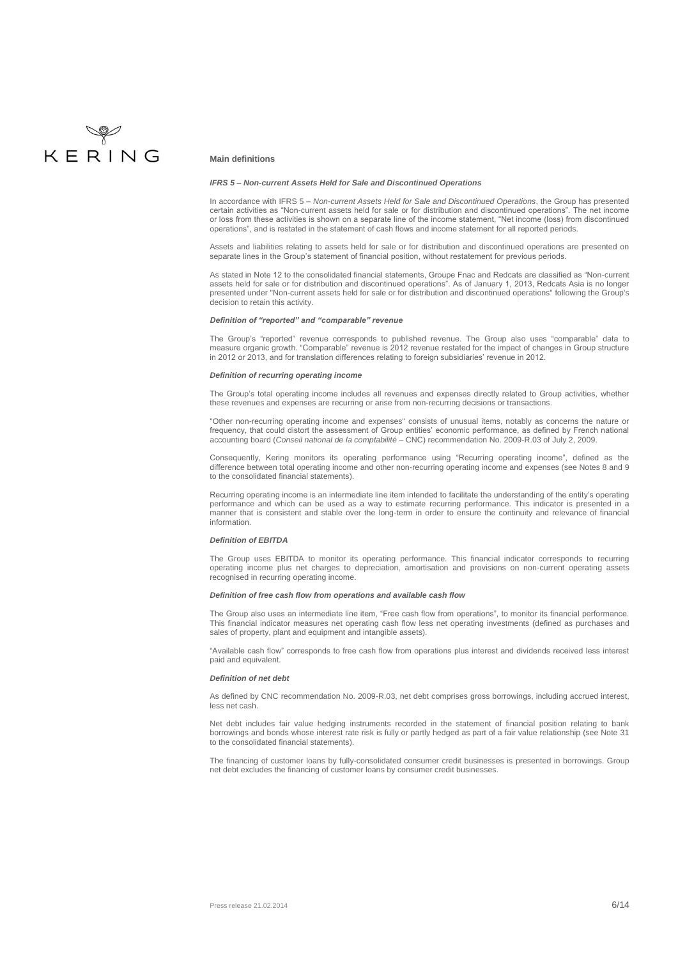

#### **Main definitions**

#### *IFRS 5 – Non-current Assets Held for Sale and Discontinued Operations*

In accordance with IFRS 5 – *Non-current Assets Held for Sale and Discontinued Operations*, the Group has presented certain activities as "Non-current assets held for sale or for distribution and discontinued operations". The net income or loss from these activities is shown on a separate line of the income statement, "Net income (loss) from discontinued operations", and is restated in the statement of cash flows and income statement for all reported periods.

Assets and liabilities relating to assets held for sale or for distribution and discontinued operations are presented on separate lines in the Group's statement of financial position, without restatement for previous periods.

As stated in Note 12 to the consolidated financial statements, Groupe Fnac and Redcats are classified as "Non-current assets held for sale or for distribution and discontinued operations". As of January 1, 2013, Redcats Asia is no longer presented under "Non-current assets held for sale or for distribution and discontinued operations" following the Group's decision to retain this activity.

#### *Definition of "reported" and "comparable" revenue*

The Group's "reported" revenue corresponds to published revenue. The Group also uses "comparable" data to measure organic growth. "Comparable" revenue is 2012 revenue restated for the impact of changes in Group structure in 2012 or 2013, and for translation differences relating to foreign subsidiaries' revenue in 2012.

## *Definition of recurring operating income*

The Group's total operating income includes all revenues and expenses directly related to Group activities, whether these revenues and expenses are recurring or arise from non-recurring decisions or transactions.

"Other non-recurring operating income and expenses" consists of unusual items, notably as concerns the nature or frequency, that could distort the assessment of Group entities' economic performance, as defined by French national accounting board (*Conseil national de la comptabilité* – CNC) recommendation No. 2009-R.03 of July 2, 2009.

Consequently, Kering monitors its operating performance using "Recurring operating income", defined as the difference between total operating income and other non-recurring operating income and expenses (see Notes 8 and 9 to the consolidated financial statements).

Recurring operating income is an intermediate line item intended to facilitate the understanding of the entity's operating performance and which can be used as a way to estimate recurring performance. This indicator is presented in a manner that is consistent and stable over the long-term in order to ensure the continuity and relevance of financial information.

#### *Definition of EBITDA*

The Group uses EBITDA to monitor its operating performance. This financial indicator corresponds to recurring operating income plus net charges to depreciation, amortisation and provisions on non-current operating assets recognised in recurring operating income.

## *Definition of free cash flow from operations and available cash flow*

The Group also uses an intermediate line item, "Free cash flow from operations", to monitor its financial performance. This financial indicator measures net operating cash flow less net operating investments (defined as purchases and sales of property, plant and equipment and intangible assets).

"Available cash flow" corresponds to free cash flow from operations plus interest and dividends received less interest paid and equivalent.

#### *Definition of net debt*

As defined by CNC recommendation No. 2009-R.03, net debt comprises gross borrowings, including accrued interest, less net cash.

Net debt includes fair value hedging instruments recorded in the statement of financial position relating to bank borrowings and bonds whose interest rate risk is fully or partly hedged as part of a fair value relationship (see Note 31 to the consolidated financial statements).

The financing of customer loans by fully-consolidated consumer credit businesses is presented in borrowings. Group net debt excludes the financing of customer loans by consumer credit businesses.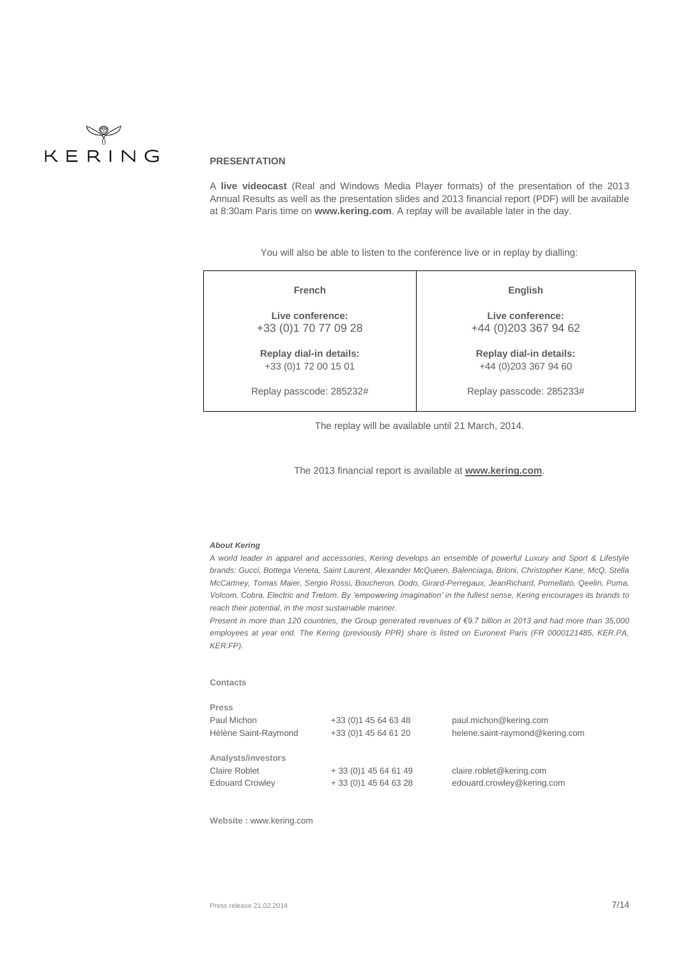

# **PRESENTATION**

A **live videocast** (Real and Windows Media Player formats) of the presentation of the 2013 Annual Results as well as the presentation slides and 2013 financial report (PDF) will be available at 8:30am Paris time on **www.kering.com**. A replay will be available later in the day.

You will also be able to listen to the conference live or in replay by dialling:

| <b>French</b>            | <b>English</b>           |
|--------------------------|--------------------------|
| Live conference:         | Live conference:         |
| +33 (0) 1 70 77 09 28    | +44 (0) 203 367 94 62    |
| Replay dial-in details:  | Replay dial-in details:  |
| +33 (0) 172 00 15 01     | +44 (0) 203 367 94 60    |
| Replay passcode: 285232# | Replay passcode: 285233# |

The replay will be available until 21 March, 2014.

The 2013 financial report is available at **[www.kering.com](http://www.kering.com/)**.

## *About Kering*

*A world leader in apparel and accessories, Kering develops an ensemble of powerful Luxury and Sport & Lifestyle brands: Gucci, Bottega Veneta, Saint Laurent, Alexander McQueen, Balenciaga, Brioni, Christopher Kane, McQ, Stella McCartney, Tomas Maier, Sergio Rossi, Boucheron, Dodo, Girard-Perregaux, JeanRichard, Pomellato, Qeelin, Puma, Volcom, Cobra, Electric and Tretorn. By 'empowering imagination' in the fullest sense, Kering encourages its brands to reach their potential, in the most sustainable manner.* 

*Present in more than 120 countries, the Group generated revenues of €9.7 billion in 2013 and had more than 35,000 employees at year end. The Kering (previously PPR) share is listed on Euronext Paris (FR 0000121485, KER.PA, KER.FP).*

### **Contacts**

| Press                  |                        |                                 |
|------------------------|------------------------|---------------------------------|
| Paul Michon            | +33 (0) 1 45 64 63 48  | paul.michon@kering.com          |
| Hélène Saint-Raymond   | +33 (0) 1 45 64 61 20  | helene.saint-raymond@kering.com |
| Analysts/investors     |                        |                                 |
| Claire Roblet          | + 33 (0) 1 45 64 61 49 | claire.roblet@kering.com        |
| <b>Edouard Crowley</b> | + 33 (0) 1 45 64 63 28 | edouard.crowley@kering.com      |

**Website :** www.kering.com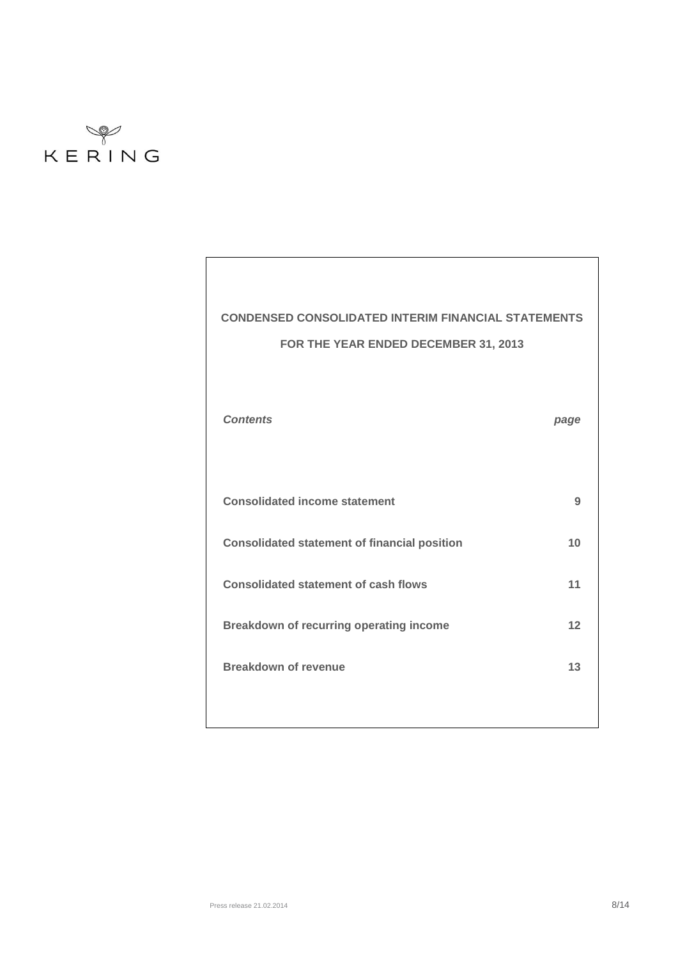

# **CONDENSED CONSOLIDATED INTERIM FINANCIAL STATEMENTS**

# **FOR THE YEAR ENDED DECEMBER 31, 2013**

| <b>Contents</b>                                     | page |
|-----------------------------------------------------|------|
|                                                     |      |
|                                                     |      |
| <b>Consolidated income statement</b>                | 9    |
| <b>Consolidated statement of financial position</b> | 10   |
|                                                     |      |
| <b>Consolidated statement of cash flows</b>         | 11   |
| <b>Breakdown of recurring operating income</b>      | 12   |
| <b>Breakdown of revenue</b>                         | 13   |
|                                                     |      |
|                                                     |      |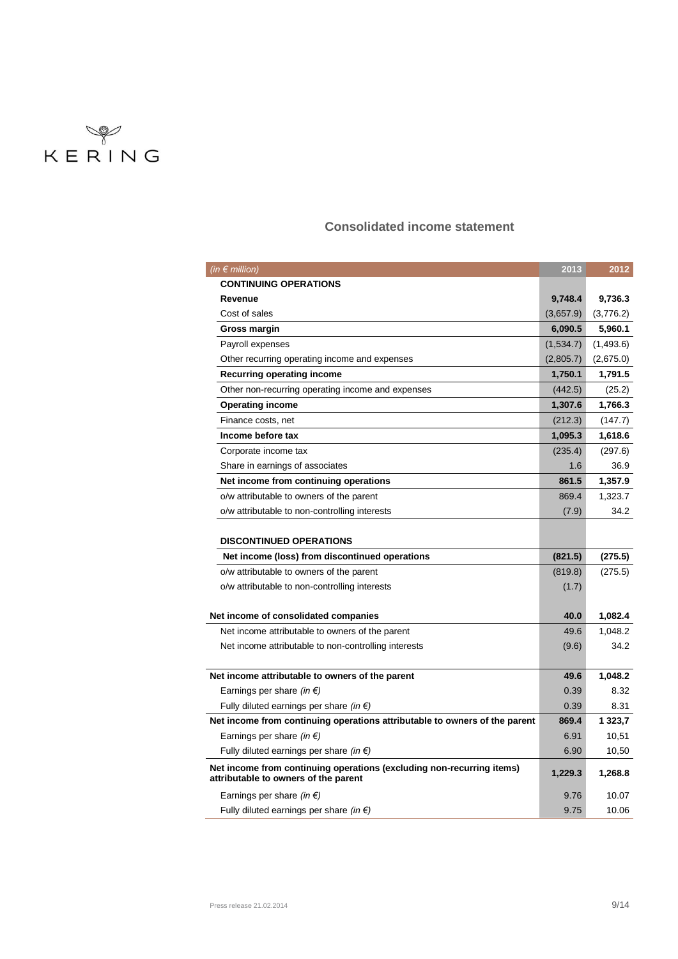

# **Consolidated income statement**

| (in $\epsilon$ million)                                                                                       | 2013      | 2012      |
|---------------------------------------------------------------------------------------------------------------|-----------|-----------|
| <b>CONTINUING OPERATIONS</b>                                                                                  |           |           |
| Revenue                                                                                                       | 9,748.4   | 9,736.3   |
| Cost of sales                                                                                                 | (3,657.9) | (3,776.2) |
| Gross margin                                                                                                  | 6,090.5   | 5,960.1   |
| Payroll expenses                                                                                              | (1,534.7) | (1,493.6) |
| Other recurring operating income and expenses                                                                 | (2,805.7) | (2,675.0) |
| <b>Recurring operating income</b>                                                                             | 1,750.1   | 1,791.5   |
| Other non-recurring operating income and expenses                                                             | (442.5)   | (25.2)    |
| <b>Operating income</b>                                                                                       | 1,307.6   | 1,766.3   |
| Finance costs, net                                                                                            | (212.3)   | (147.7)   |
| Income before tax                                                                                             | 1,095.3   | 1,618.6   |
| Corporate income tax                                                                                          | (235.4)   | (297.6)   |
| Share in earnings of associates                                                                               | 1.6       | 36.9      |
| Net income from continuing operations                                                                         | 861.5     | 1,357.9   |
| o/w attributable to owners of the parent                                                                      | 869.4     | 1,323.7   |
| o/w attributable to non-controlling interests                                                                 | (7.9)     | 34.2      |
| <b>DISCONTINUED OPERATIONS</b>                                                                                |           |           |
| Net income (loss) from discontinued operations                                                                | (821.5)   | (275.5)   |
| o/w attributable to owners of the parent                                                                      | (819.8)   | (275.5)   |
| o/w attributable to non-controlling interests                                                                 | (1.7)     |           |
|                                                                                                               |           |           |
| Net income of consolidated companies                                                                          | 40.0      | 1,082.4   |
| Net income attributable to owners of the parent                                                               | 49.6      | 1,048.2   |
| Net income attributable to non-controlling interests                                                          | (9.6)     | 34.2      |
|                                                                                                               |           |           |
| Net income attributable to owners of the parent                                                               | 49.6      | 1,048.2   |
| Earnings per share <i>(in <math>\epsilon</math>)</i>                                                          | 0.39      | 8.32      |
| Fully diluted earnings per share (in $\epsilon$ )                                                             | 0.39      | 8.31      |
| Net income from continuing operations attributable to owners of the parent                                    | 869.4     | 1 323,7   |
| Earnings per share (in $\epsilon$ )                                                                           | 6.91      | 10,51     |
| Fully diluted earnings per share (in $\epsilon$ )                                                             | 6.90      | 10,50     |
| Net income from continuing operations (excluding non-recurring items)<br>attributable to owners of the parent | 1,229.3   | 1,268.8   |
| Earnings per share <i>(in <math>\epsilon</math>)</i>                                                          | 9.76      | 10.07     |
| Fully diluted earnings per share (in $\epsilon$ )                                                             | 9.75      | 10.06     |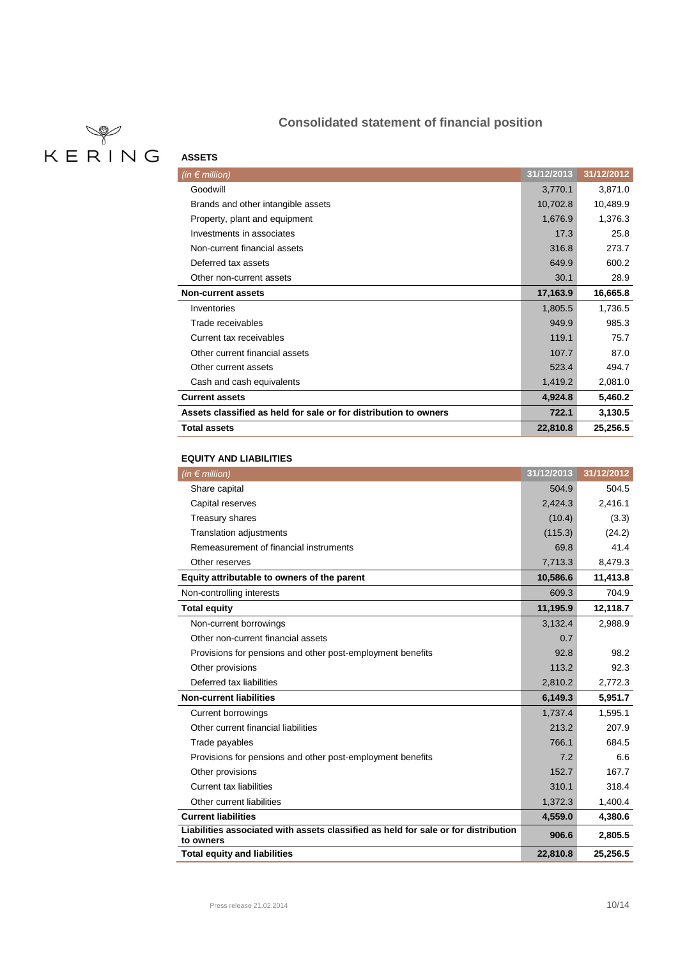

# **Consolidated statement of financial position**

| ASSEIS                                                           |            |            |
|------------------------------------------------------------------|------------|------------|
| (in $\epsilon$ million)                                          | 31/12/2013 | 31/12/2012 |
| Goodwill                                                         | 3,770.1    | 3,871.0    |
| Brands and other intangible assets                               | 10,702.8   | 10,489.9   |
| Property, plant and equipment                                    | 1,676.9    | 1,376.3    |
| Investments in associates                                        | 17.3       | 25.8       |
| Non-current financial assets                                     | 316.8      | 273.7      |
| Deferred tax assets                                              | 649.9      | 600.2      |
| Other non-current assets                                         | 30.1       | 28.9       |
| <b>Non-current assets</b>                                        | 17,163.9   | 16,665.8   |
| Inventories                                                      | 1,805.5    | 1,736.5    |
| Trade receivables                                                | 949.9      | 985.3      |
| Current tax receivables                                          | 119.1      | 75.7       |
| Other current financial assets                                   | 107.7      | 87.0       |
| Other current assets                                             | 523.4      | 494.7      |
| Cash and cash equivalents                                        | 1,419.2    | 2,081.0    |
| <b>Current assets</b>                                            | 4,924.8    | 5,460.2    |
| Assets classified as held for sale or for distribution to owners | 722.1      | 3,130.5    |
| <b>Total assets</b>                                              | 22,810.8   | 25,256.5   |
|                                                                  |            |            |

# **EQUITY AND LIABILITIES**

| (in $\notin$ million)                                                                           | 31/12/2013 | 31/12/2012 |
|-------------------------------------------------------------------------------------------------|------------|------------|
| Share capital                                                                                   | 504.9      | 504.5      |
| Capital reserves                                                                                | 2,424.3    | 2.416.1    |
| Treasury shares                                                                                 | (10.4)     | (3.3)      |
| <b>Translation adjustments</b>                                                                  | (115.3)    | (24.2)     |
| Remeasurement of financial instruments                                                          | 69.8       | 41.4       |
| Other reserves                                                                                  | 7,713.3    | 8,479.3    |
| Equity attributable to owners of the parent                                                     | 10,586.6   | 11,413.8   |
| Non-controlling interests                                                                       | 609.3      | 704.9      |
| <b>Total equity</b>                                                                             | 11,195.9   | 12,118.7   |
| Non-current borrowings                                                                          | 3,132.4    | 2,988.9    |
| Other non-current financial assets                                                              | 0.7        |            |
| Provisions for pensions and other post-employment benefits                                      | 92.8       | 98.2       |
| Other provisions                                                                                | 113.2      | 92.3       |
| Deferred tax liabilities                                                                        | 2,810.2    | 2,772.3    |
| <b>Non-current liabilities</b>                                                                  | 6,149.3    | 5,951.7    |
| <b>Current borrowings</b>                                                                       | 1,737.4    | 1,595.1    |
| Other current financial liabilities                                                             | 213.2      | 207.9      |
| Trade payables                                                                                  | 766.1      | 684.5      |
| Provisions for pensions and other post-employment benefits                                      | 7.2        | 6.6        |
| Other provisions                                                                                | 152.7      | 167.7      |
| <b>Current tax liabilities</b>                                                                  | 310.1      | 318.4      |
| Other current liabilities                                                                       | 1,372.3    | 1,400.4    |
| <b>Current liabilities</b>                                                                      | 4,559.0    | 4,380.6    |
| Liabilities associated with assets classified as held for sale or for distribution<br>to owners | 906.6      | 2,805.5    |
| <b>Total equity and liabilities</b>                                                             | 22,810.8   | 25,256.5   |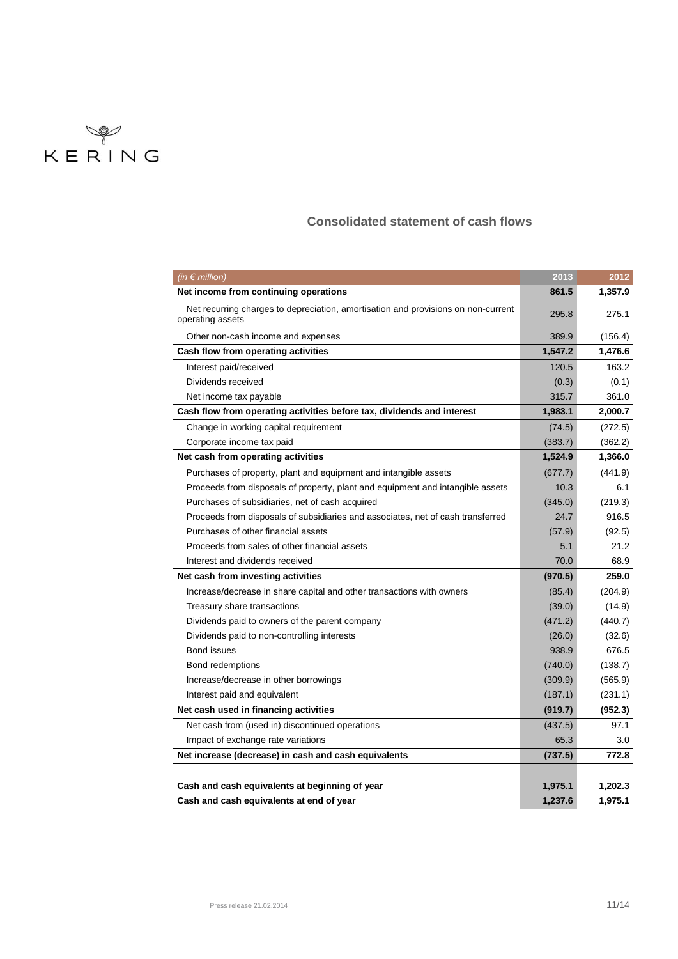

# **Consolidated statement of cash flows**

| $(in \in$ million)                                                                                    | 2013    | 2012    |
|-------------------------------------------------------------------------------------------------------|---------|---------|
| Net income from continuing operations                                                                 | 861.5   | 1,357.9 |
| Net recurring charges to depreciation, amortisation and provisions on non-current<br>operating assets | 295.8   | 275.1   |
| Other non-cash income and expenses                                                                    | 389.9   | (156.4) |
| Cash flow from operating activities                                                                   | 1,547.2 | 1,476.6 |
| Interest paid/received                                                                                | 120.5   | 163.2   |
| Dividends received                                                                                    | (0.3)   | (0.1)   |
| Net income tax payable                                                                                | 315.7   | 361.0   |
| Cash flow from operating activities before tax, dividends and interest                                | 1,983.1 | 2,000.7 |
| Change in working capital requirement                                                                 | (74.5)  | (272.5) |
| Corporate income tax paid                                                                             | (383.7) | (362.2) |
| Net cash from operating activities                                                                    | 1,524.9 | 1,366.0 |
| Purchases of property, plant and equipment and intangible assets                                      | (677.7) | (441.9) |
| Proceeds from disposals of property, plant and equipment and intangible assets                        | 10.3    | 6.1     |
| Purchases of subsidiaries, net of cash acquired                                                       | (345.0) | (219.3) |
| Proceeds from disposals of subsidiaries and associates, net of cash transferred                       | 24.7    | 916.5   |
| Purchases of other financial assets                                                                   | (57.9)  | (92.5)  |
| Proceeds from sales of other financial assets                                                         | 5.1     | 21.2    |
| Interest and dividends received                                                                       | 70.0    | 68.9    |
| Net cash from investing activities                                                                    | (970.5) | 259.0   |
| Increase/decrease in share capital and other transactions with owners                                 | (85.4)  | (204.9) |
| Treasury share transactions                                                                           | (39.0)  | (14.9)  |
| Dividends paid to owners of the parent company                                                        | (471.2) | (440.7) |
| Dividends paid to non-controlling interests                                                           | (26.0)  | (32.6)  |
| <b>Bond issues</b>                                                                                    | 938.9   | 676.5   |
| Bond redemptions                                                                                      | (740.0) | (138.7) |
| Increase/decrease in other borrowings                                                                 | (309.9) | (565.9) |
| Interest paid and equivalent                                                                          | (187.1) | (231.1) |
| Net cash used in financing activities                                                                 | (919.7) | (952.3) |
| Net cash from (used in) discontinued operations                                                       | (437.5) | 97.1    |
| Impact of exchange rate variations                                                                    | 65.3    | 3.0     |
| Net increase (decrease) in cash and cash equivalents                                                  | (737.5) | 772.8   |
| Cash and cash equivalents at beginning of year                                                        | 1,975.1 | 1,202.3 |
| Cash and cash equivalents at end of year                                                              | 1,237.6 | 1,975.1 |
|                                                                                                       |         |         |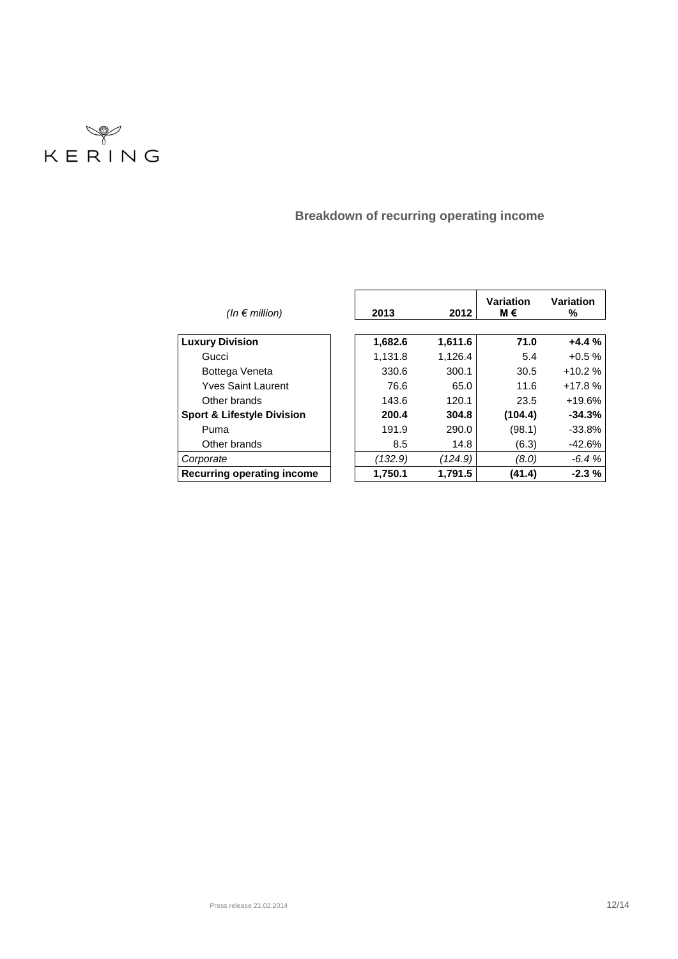

# **Breakdown of recurring operating income**

| (In $\epsilon$ million)               | 2013    | 2012    | Variation<br>M€ | Variation<br>% |
|---------------------------------------|---------|---------|-----------------|----------------|
| <b>Luxury Division</b>                | 1,682.6 | 1,611.6 | 71.0            | $+4.4%$        |
| Gucci                                 | 1,131.8 | 1,126.4 | 5.4             | $+0.5%$        |
| Bottega Veneta                        | 330.6   | 300.1   | 30.5            | $+10.2%$       |
| Yves Saint Laurent                    | 76.6    | 65.0    | 11.6            | $+17.8%$       |
| Other brands                          | 143.6   | 120.1   | 23.5            | $+19.6%$       |
| <b>Sport &amp; Lifestyle Division</b> | 200.4   | 304.8   | (104.4)         | $-34.3%$       |
| Puma                                  | 191.9   | 290.0   | (98.1)          | $-33.8%$       |
| Other brands                          | 8.5     | 14.8    | (6.3)           | $-42.6%$       |
| Corporate                             | (132.9) | (124.9) | (8.0)           | $-6.4%$        |
| <b>Recurring operating income</b>     | 1,750.1 | 1,791.5 | (41.4)          | $-2.3%$        |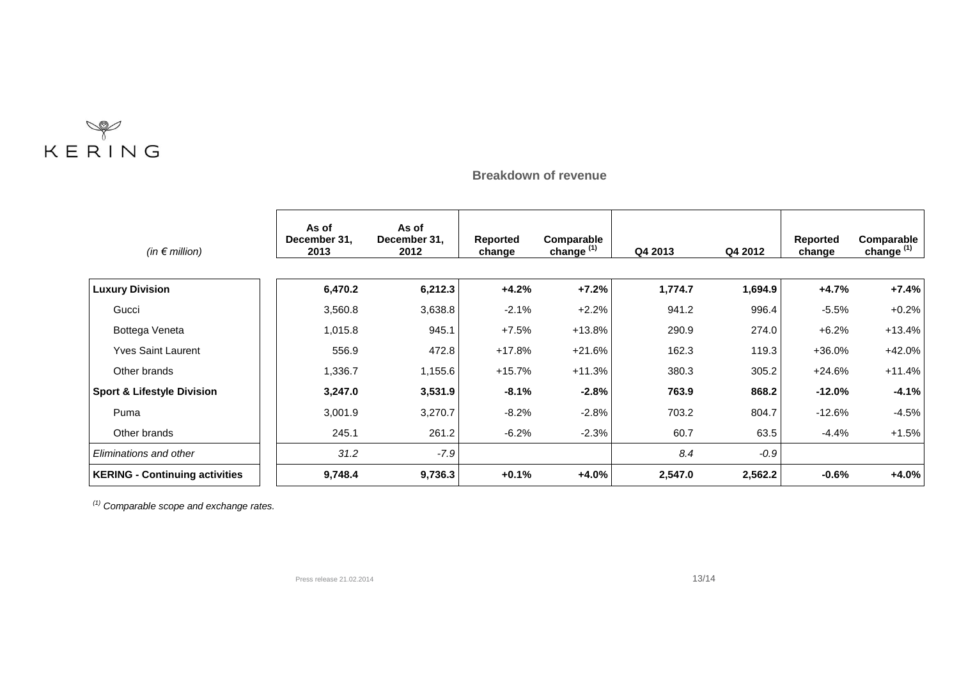# KERING

# **Breakdown of revenue**

| (in $\epsilon$ million)               | As of<br>December 31,<br>2013 | As of<br>December 31,<br>2012 | <b>Reported</b><br>change | Comparable<br>change $(1)$ | Q4 2013 | Q4 2012 | Reported<br>change | Comparable<br>change <sup>(1)</sup> |
|---------------------------------------|-------------------------------|-------------------------------|---------------------------|----------------------------|---------|---------|--------------------|-------------------------------------|
| <b>Luxury Division</b>                | 6,470.2                       | 6,212.3                       | $+4.2%$                   | $+7.2%$                    | 1,774.7 | 1,694.9 | $+4.7%$            | $+7.4%$                             |
| Gucci                                 | 3,560.8                       | 3,638.8                       | $-2.1%$                   | $+2.2%$                    | 941.2   | 996.4   | $-5.5%$            | $+0.2%$                             |
| Bottega Veneta                        | 1,015.8                       | 945.1                         | +7.5%                     | $+13.8%$                   | 290.9   | 274.0   | $+6.2%$            | $+13.4%$                            |
| <b>Yves Saint Laurent</b>             | 556.9                         | 472.8                         | $+17.8%$                  | $+21.6%$                   | 162.3   | 119.3   | +36.0%             | $+42.0%$                            |
| Other brands                          | 1,336.7                       | 1,155.6                       | $+15.7%$                  | $+11.3%$                   | 380.3   | 305.2   | $+24.6%$           | $+11.4%$                            |
| <b>Sport &amp; Lifestyle Division</b> | 3,247.0                       | 3,531.9                       | $-8.1%$                   | $-2.8%$                    | 763.9   | 868.2   | $-12.0%$           | $-4.1%$                             |
| Puma                                  | 3,001.9                       | 3,270.7                       | $-8.2%$                   | $-2.8%$                    | 703.2   | 804.7   | $-12.6%$           | $-4.5\%$                            |
| Other brands                          | 245.1                         | 261.2                         | $-6.2%$                   | $-2.3%$                    | 60.7    | 63.5    | $-4.4%$            | $+1.5%$                             |
| Eliminations and other                | 31.2                          | $-7.9$                        |                           |                            | 8.4     | $-0.9$  |                    |                                     |
| <b>KERING - Continuing activities</b> | 9,748.4                       | 9,736.3                       | $+0.1%$                   | $+4.0%$                    | 2,547.0 | 2,562.2 | $-0.6%$            | $+4.0%$                             |

*(1) Comparable scope and exchange rates.*